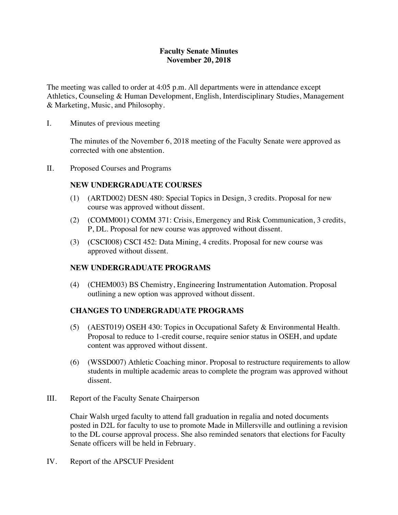### **Faculty Senate Minutes November 20, 2018**

The meeting was called to order at 4:05 p.m. All departments were in attendance except Athletics, Counseling & Human Development, English, Interdisciplinary Studies, Management & Marketing, Music, and Philosophy.

I. Minutes of previous meeting

The minutes of the November 6, 2018 meeting of the Faculty Senate were approved as corrected with one abstention.

II. Proposed Courses and Programs

## **NEW UNDERGRADUATE COURSES**

- (1) (ARTD002) DESN 480: Special Topics in Design, 3 credits. Proposal for new course was approved without dissent.
- (2) (COMM001) COMM 371: Crisis, Emergency and Risk Communication, 3 credits, P, DL. Proposal for new course was approved without dissent.
- (3) (CSCI008) CSCI 452: Data Mining, 4 credits. Proposal for new course was approved without dissent.

## **NEW UNDERGRADUATE PROGRAMS**

(4) (CHEM003) BS Chemistry, Engineering Instrumentation Automation. Proposal outlining a new option was approved without dissent.

## **CHANGES TO UNDERGRADUATE PROGRAMS**

- (5) (AEST019) OSEH 430: Topics in Occupational Safety & Environmental Health. Proposal to reduce to 1-credit course, require senior status in OSEH, and update content was approved without dissent.
- (6) (WSSD007) Athletic Coaching minor. Proposal to restructure requirements to allow students in multiple academic areas to complete the program was approved without dissent.
- III. Report of the Faculty Senate Chairperson

Chair Walsh urged faculty to attend fall graduation in regalia and noted documents posted in D2L for faculty to use to promote Made in Millersville and outlining a revision to the DL course approval process. She also reminded senators that elections for Faculty Senate officers will be held in February.

IV. Report of the APSCUF President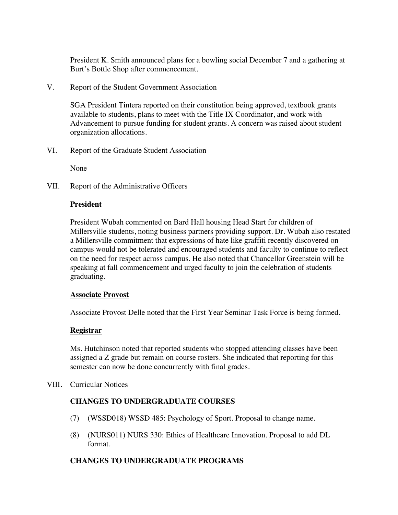President K. Smith announced plans for a bowling social December 7 and a gathering at Burt's Bottle Shop after commencement.

V. Report of the Student Government Association

SGA President Tintera reported on their constitution being approved, textbook grants available to students, plans to meet with the Title IX Coordinator, and work with Advancement to pursue funding for student grants. A concern was raised about student organization allocations.

VI. Report of the Graduate Student Association

None

VII. Report of the Administrative Officers

### **President**

President Wubah commented on Bard Hall housing Head Start for children of Millersville students, noting business partners providing support. Dr. Wubah also restated a Millersville commitment that expressions of hate like graffiti recently discovered on campus would not be tolerated and encouraged students and faculty to continue to reflect on the need for respect across campus. He also noted that Chancellor Greenstein will be speaking at fall commencement and urged faculty to join the celebration of students graduating.

#### **Associate Provost**

Associate Provost Delle noted that the First Year Seminar Task Force is being formed.

### **Registrar**

Ms. Hutchinson noted that reported students who stopped attending classes have been assigned a Z grade but remain on course rosters. She indicated that reporting for this semester can now be done concurrently with final grades.

VIII. Curricular Notices

### **CHANGES TO UNDERGRADUATE COURSES**

- (7) (WSSD018) WSSD 485: Psychology of Sport. Proposal to change name.
- (8) (NURS011) NURS 330: Ethics of Healthcare Innovation. Proposal to add DL format.

### **CHANGES TO UNDERGRADUATE PROGRAMS**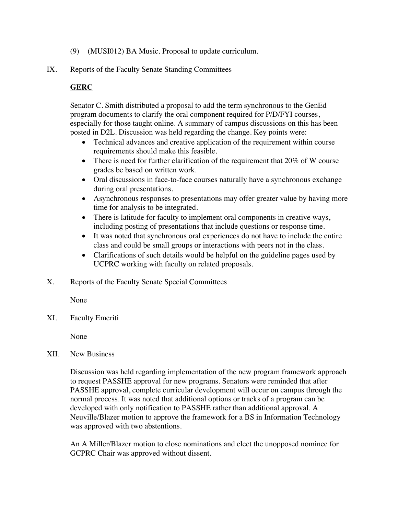- (9) (MUSI012) BA Music. Proposal to update curriculum.
- IX. Reports of the Faculty Senate Standing Committees

# **GERC**

Senator C. Smith distributed a proposal to add the term synchronous to the GenEd program documents to clarify the oral component required for P/D/FYI courses, especially for those taught online. A summary of campus discussions on this has been posted in D2L. Discussion was held regarding the change. Key points were:

- Technical advances and creative application of the requirement within course requirements should make this feasible.
- There is need for further clarification of the requirement that 20% of W course grades be based on written work.
- Oral discussions in face-to-face courses naturally have a synchronous exchange during oral presentations.
- Asynchronous responses to presentations may offer greater value by having more time for analysis to be integrated.
- There is latitude for faculty to implement oral components in creative ways, including posting of presentations that include questions or response time.
- It was noted that synchronous oral experiences do not have to include the entire class and could be small groups or interactions with peers not in the class.
- Clarifications of such details would be helpful on the guideline pages used by UCPRC working with faculty on related proposals.
- X. Reports of the Faculty Senate Special Committees

None

XI. Faculty Emeriti

None

XII. New Business

Discussion was held regarding implementation of the new program framework approach to request PASSHE approval for new programs. Senators were reminded that after PASSHE approval, complete curricular development will occur on campus through the normal process. It was noted that additional options or tracks of a program can be developed with only notification to PASSHE rather than additional approval. A Neuville/Blazer motion to approve the framework for a BS in Information Technology was approved with two abstentions.

An A Miller/Blazer motion to close nominations and elect the unopposed nominee for GCPRC Chair was approved without dissent.